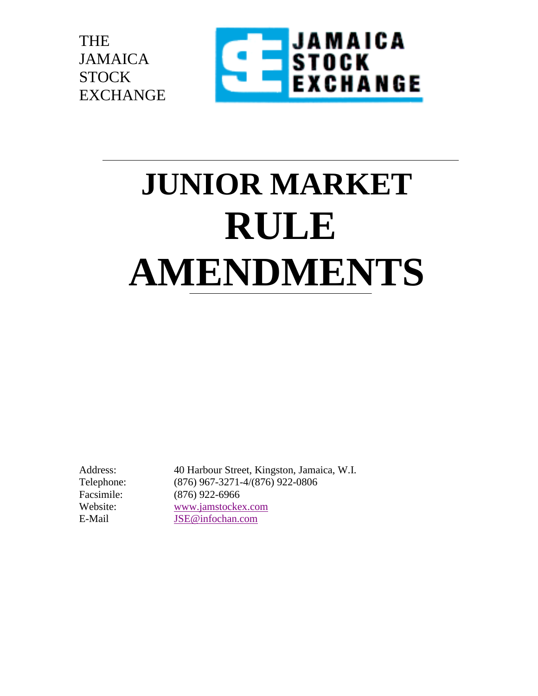



# **JUNIOR MARKET RULE AMENDMENTS**

Address: 40 Harbour Street, Kingston, Jamaica, W.I. Telephone: (876) 967-3271-4/(876) 922-0806 Facsimile: (876) 922-6966 Website: [www.jamstockex.com](http://www.jamstockex.com/) E-Mail [JSE@infochan.com](mailto:JSE@infochan.com)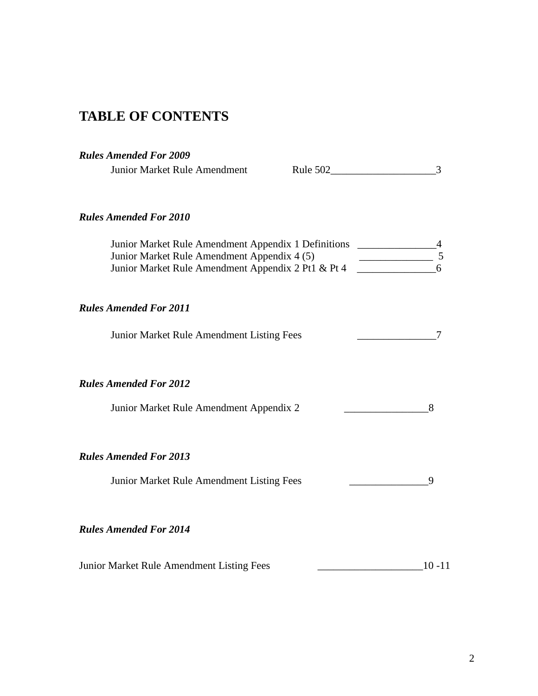# **TABLE OF CONTENTS**

## *Rules Amended For 2009*

| Junior Market Rule Amendment                                                                                                                                                                                           |  | 3         |
|------------------------------------------------------------------------------------------------------------------------------------------------------------------------------------------------------------------------|--|-----------|
| <b>Rules Amended For 2010</b>                                                                                                                                                                                          |  |           |
| Junior Market Rule Amendment Appendix 1 Definitions ______________<br>Junior Market Rule Amendment Appendix 4 (5)<br>Junior Market Rule Amendment Appendix 4 (5)<br>Junior Market Rule Amendment Appendix 2 Pt1 & Pt 4 |  | 5         |
| <b>Rules Amended For 2011</b>                                                                                                                                                                                          |  |           |
| Junior Market Rule Amendment Listing Fees                                                                                                                                                                              |  |           |
| <b>Rules Amended For 2012</b><br>Junior Market Rule Amendment Appendix 2                                                                                                                                               |  | 8         |
| <b>Rules Amended For 2013</b><br>Junior Market Rule Amendment Listing Fees                                                                                                                                             |  | 9         |
| <b>Rules Amended For 2014</b>                                                                                                                                                                                          |  |           |
| Junior Market Rule Amendment Listing Fees                                                                                                                                                                              |  | $10 - 11$ |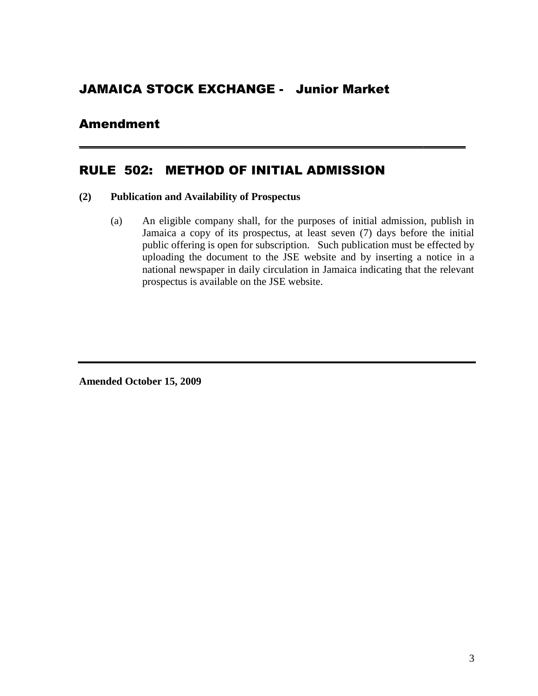## JAMAICA STOCK EXCHANGE - Junior Market

## Amendment

## RULE 502: METHOD OF INITIAL ADMISSION

#### **(2) Publication and Availability of Prospectus**

(a) An eligible company shall, for the purposes of initial admission, publish in Jamaica a copy of its prospectus, at least seven (7) days before the initial public offering is open for subscription. Such publication must be effected by uploading the document to the JSE website and by inserting a notice in a national newspaper in daily circulation in Jamaica indicating that the relevant prospectus is available on the JSE website.

**\_\_\_\_\_\_\_\_\_\_\_\_\_\_\_\_\_\_\_\_\_\_\_\_\_\_\_\_\_\_\_\_\_\_\_\_\_\_\_\_\_\_\_\_\_\_\_\_\_\_\_\_\_\_\_**

**Amended October 15, 2009**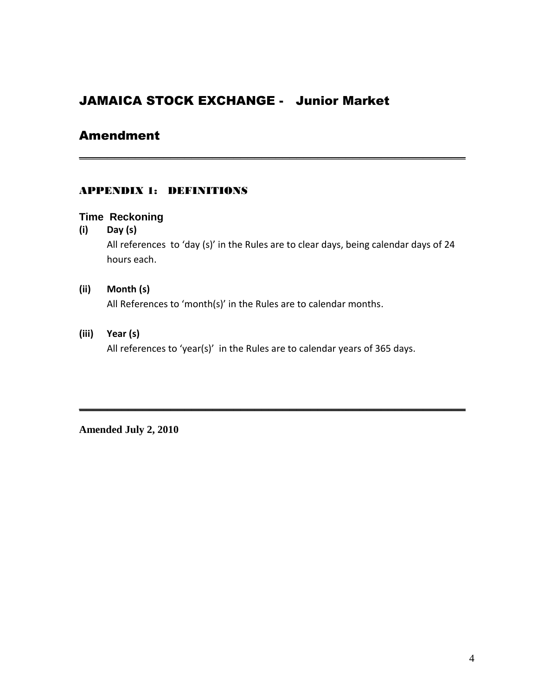## JAMAICA STOCK EXCHANGE - Junior Market

## Amendment

## APPENDIX 1: DEFINITIONS

## **Time Reckoning**

**(i) Day (s)**

All references to 'day (s)' in the Rules are to clear days, being calendar days of 24 hours each.

**\_\_\_\_\_\_\_\_\_\_\_\_\_\_\_\_\_\_\_\_\_\_\_\_\_\_\_\_\_\_\_\_\_\_\_\_\_\_\_\_\_\_\_\_\_\_\_\_\_\_\_\_\_\_\_**

#### **(ii) Month (s)**

All References to 'month(s)' in the Rules are to calendar months.

## **(iii) Year (s)**

All references to 'year(s)' in the Rules are to calendar years of 365 days.

**\_\_\_\_\_\_\_\_\_\_\_\_\_\_\_\_\_\_\_\_\_\_\_\_\_\_\_\_\_\_\_\_\_\_\_\_\_\_\_\_\_\_\_\_\_\_\_\_\_\_\_\_\_\_\_**

**Amended July 2, 2010**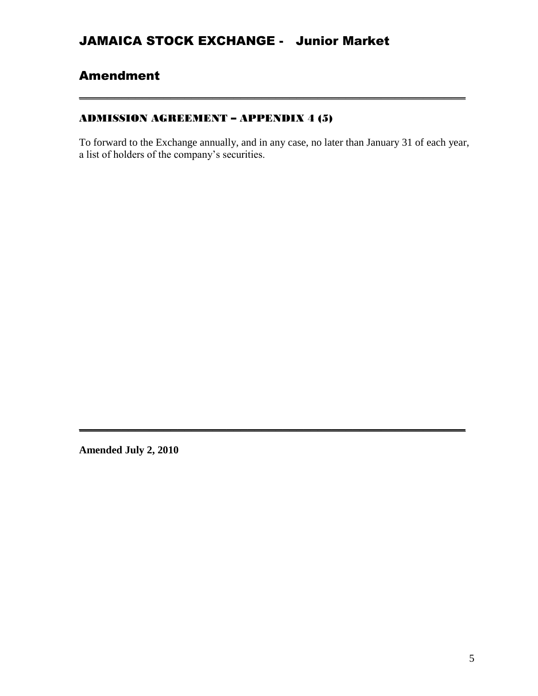# Amendment

## ADMISSION AGREEMENT – APPENDIX 4 (5)

To forward to the Exchange annually, and in any case, no later than January 31 of each year, a list of holders of the company's securities.

**\_\_\_\_\_\_\_\_\_\_\_\_\_\_\_\_\_\_\_\_\_\_\_\_\_\_\_\_\_\_\_\_\_\_\_\_\_\_\_\_\_\_\_\_\_\_\_\_\_\_\_\_\_\_\_**

**\_\_\_\_\_\_\_\_\_\_\_\_\_\_\_\_\_\_\_\_\_\_\_\_\_\_\_\_\_\_\_\_\_\_\_\_\_\_\_\_\_\_\_\_\_\_\_\_\_\_\_\_\_\_\_**

**Amended July 2, 2010**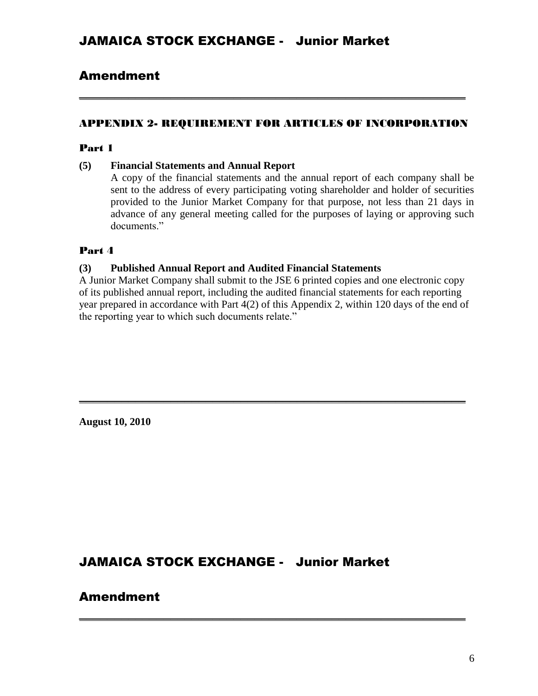## Amendment

#### APPENDIX 2- REQUIREMENT FOR ARTICLES OF INCORPORATION

**\_\_\_\_\_\_\_\_\_\_\_\_\_\_\_\_\_\_\_\_\_\_\_\_\_\_\_\_\_\_\_\_\_\_\_\_\_\_\_\_\_\_\_\_\_\_\_\_\_\_\_\_\_\_\_**

#### Part 1

#### **(5) Financial Statements and Annual Report**

A copy of the financial statements and the annual report of each company shall be sent to the address of every participating voting shareholder and holder of securities provided to the Junior Market Company for that purpose, not less than 21 days in advance of any general meeting called for the purposes of laying or approving such documents<sup>"</sup>

#### Part 4

#### **(3) Published Annual Report and Audited Financial Statements**

A Junior Market Company shall submit to the JSE 6 printed copies and one electronic copy of its published annual report, including the audited financial statements for each reporting year prepared in accordance with Part 4(2) of this Appendix 2, within 120 days of the end of the reporting year to which such documents relate."

**\_\_\_\_\_\_\_\_\_\_\_\_\_\_\_\_\_\_\_\_\_\_\_\_\_\_\_\_\_\_\_\_\_\_\_\_\_\_\_\_\_\_\_\_\_\_\_\_\_\_\_\_\_\_\_**

**\_\_\_\_\_\_\_\_\_\_\_\_\_\_\_\_\_\_\_\_\_\_\_\_\_\_\_\_\_\_\_\_\_\_\_\_\_\_\_\_\_\_\_\_\_\_\_\_\_\_\_\_\_\_\_**

**August 10, 2010**

## JAMAICA STOCK EXCHANGE - Junior Market

## Amendment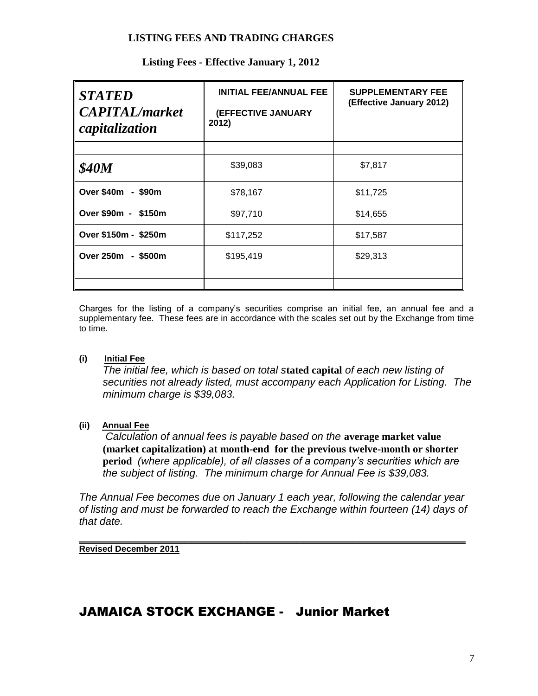#### **LISTING FEES AND TRADING CHARGES**

| <b>STATED</b><br><b>CAPITAL</b> /market<br>capitalization | <b>INITIAL FEE/ANNUAL FEE</b><br>(EFFECTIVE JANUARY<br>2012) | <b>SUPPLEMENTARY FEE</b><br>(Effective January 2012) |
|-----------------------------------------------------------|--------------------------------------------------------------|------------------------------------------------------|
| <b>\$40M</b>                                              | \$39,083                                                     | \$7,817                                              |
| Over \$40m - \$90m                                        | \$78,167                                                     | \$11,725                                             |
| Over \$90m - \$150m                                       | \$97,710                                                     | \$14,655                                             |
| Over \$150m - \$250m                                      | \$117,252                                                    | \$17,587                                             |
| Over 250m - \$500m                                        | \$195,419                                                    | \$29,313                                             |
|                                                           |                                                              |                                                      |

## **Listing Fees - Effective January 1, 2012**

Charges for the listing of a company's securities comprise an initial fee, an annual fee and a supplementary fee. These fees are in accordance with the scales set out by the Exchange from time to time.

#### **(i) Initial Fee**

*The initial fee, which is based on total s***tated capital** *of each new listing of securities not already listed, must accompany each Application for Listing. The minimum charge is \$39,083.*

#### **(ii) Annual Fee**

 *Calculation of annual fees is payable based on the* **average market value (market capitalization) at month-end for the previous twelve-month or shorter period** *(where applicable), of all classes of a company's securities which are the subject of listing. The minimum charge for Annual Fee is \$39,083.*

*The Annual Fee becomes due on January 1 each year, following the calendar year of listing and must be forwarded to reach the Exchange within fourteen (14) days of that date.*

**\_\_\_\_\_\_\_\_\_\_\_\_\_\_\_\_\_\_\_\_\_\_\_\_\_\_\_\_\_\_\_\_\_\_\_\_\_\_\_\_\_\_\_\_\_\_\_\_\_\_\_\_\_\_\_ Revised December 2011**

## JAMAICA STOCK EXCHANGE - Junior Market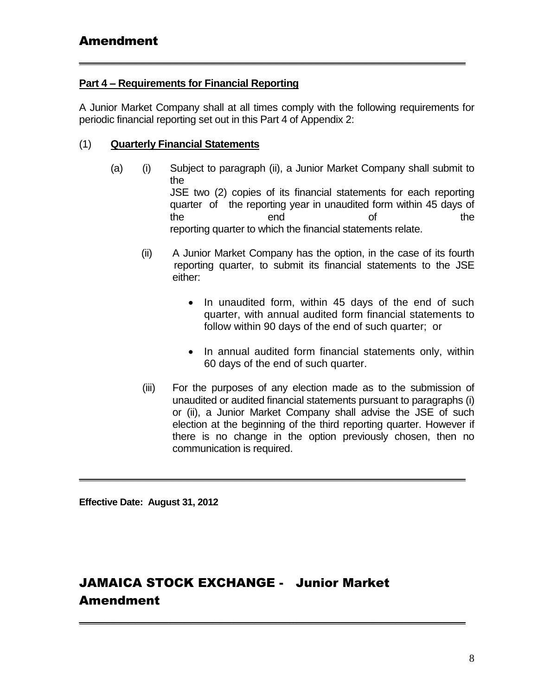## **Part 4 – Requirements for Financial Reporting**

A Junior Market Company shall at all times comply with the following requirements for periodic financial reporting set out in this Part 4 of Appendix 2:

**\_\_\_\_\_\_\_\_\_\_\_\_\_\_\_\_\_\_\_\_\_\_\_\_\_\_\_\_\_\_\_\_\_\_\_\_\_\_\_\_\_\_\_\_\_\_\_\_\_\_\_\_\_\_\_**

## (1) **Quarterly Financial Statements**

- (a) (i) Subject to paragraph (ii), a Junior Market Company shall submit to the JSE two (2) copies of its financial statements for each reporting quarter of the reporting year in unaudited form within 45 days of the end of the reporting quarter to which the financial statements relate.
	- (ii) A Junior Market Company has the option, in the case of its fourth reporting quarter, to submit its financial statements to the JSE either:
		- In unaudited form, within 45 days of the end of such quarter, with annual audited form financial statements to follow within 90 days of the end of such quarter; or
		- In annual audited form financial statements only, within 60 days of the end of such quarter.
	- (iii) For the purposes of any election made as to the submission of unaudited or audited financial statements pursuant to paragraphs (i) or (ii), a Junior Market Company shall advise the JSE of such election at the beginning of the third reporting quarter. However if there is no change in the option previously chosen, then no communication is required.

**\_\_\_\_\_\_\_\_\_\_\_\_\_\_\_\_\_\_\_\_\_\_\_\_\_\_\_\_\_\_\_\_\_\_\_\_\_\_\_\_\_\_\_\_\_\_\_\_\_\_\_\_\_\_\_**

**\_\_\_\_\_\_\_\_\_\_\_\_\_\_\_\_\_\_\_\_\_\_\_\_\_\_\_\_\_\_\_\_\_\_\_\_\_\_\_\_\_\_\_\_\_\_\_\_\_\_\_\_\_\_\_**

**Effective Date: August 31, 2012**

# JAMAICA STOCK EXCHANGE - Junior Market Amendment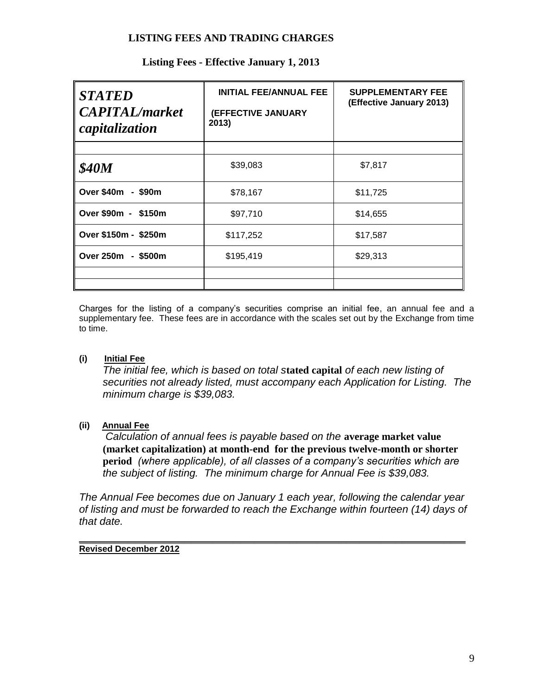#### **LISTING FEES AND TRADING CHARGES**

| <b>STATED</b><br><b>CAPITAL</b> /market<br>capitalization | <b>INITIAL FEE/ANNUAL FEE</b><br>(EFFECTIVE JANUARY<br>2013) | <b>SUPPLEMENTARY FEE</b><br>(Effective January 2013) |
|-----------------------------------------------------------|--------------------------------------------------------------|------------------------------------------------------|
|                                                           |                                                              |                                                      |
| <b>\$40M</b>                                              | \$39,083                                                     | \$7,817                                              |
| Over \$40m - \$90m                                        | \$78,167                                                     | \$11,725                                             |
| Over \$90m - \$150m                                       | \$97,710                                                     | \$14,655                                             |
| Over \$150m - \$250m                                      | \$117,252                                                    | \$17,587                                             |
| Over 250m<br>- \$500m                                     | \$195,419                                                    | \$29,313                                             |
|                                                           |                                                              |                                                      |
|                                                           |                                                              |                                                      |

## **Listing Fees - Effective January 1, 2013**

Charges for the listing of a company's securities comprise an initial fee, an annual fee and a supplementary fee. These fees are in accordance with the scales set out by the Exchange from time to time.

#### **(i) Initial Fee**

*The initial fee, which is based on total s***tated capital** *of each new listing of securities not already listed, must accompany each Application for Listing. The minimum charge is \$39,083.*

## **(ii) Annual Fee**

 *Calculation of annual fees is payable based on the* **average market value (market capitalization) at month-end for the previous twelve-month or shorter period** *(where applicable), of all classes of a company's securities which are the subject of listing. The minimum charge for Annual Fee is \$39,083.*

*The Annual Fee becomes due on January 1 each year, following the calendar year of listing and must be forwarded to reach the Exchange within fourteen (14) days of that date.*

**\_\_\_\_\_\_\_\_\_\_\_\_\_\_\_\_\_\_\_\_\_\_\_\_\_\_\_\_\_\_\_\_\_\_\_\_\_\_\_\_\_\_\_\_\_\_\_\_\_\_\_\_\_\_\_ Revised December 2012**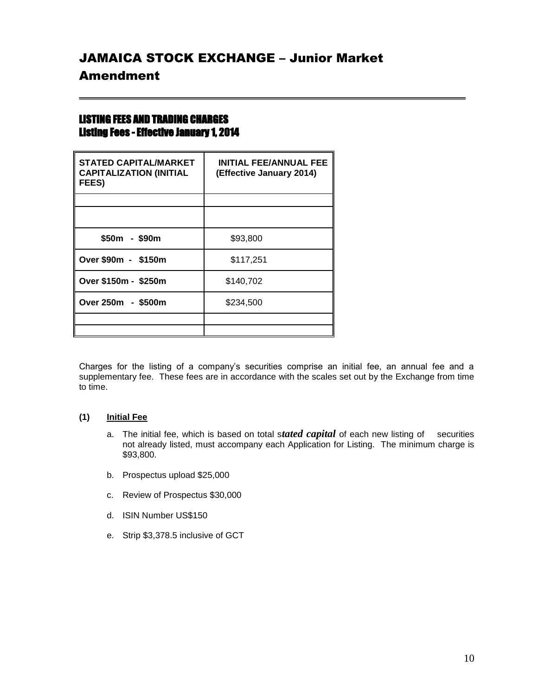# JAMAICA STOCK EXCHANGE – Junior Market Amendment

**\_\_\_\_\_\_\_\_\_\_\_\_\_\_\_\_\_\_\_\_\_\_\_\_\_\_\_\_\_\_\_\_\_\_\_\_\_\_\_\_\_\_\_\_\_\_\_\_\_\_\_\_\_\_\_**

## LISTING FEES AND TRADING CHARGES Listing Fees - Effective January 1, 2014

| <b>STATED CAPITAL/MARKET</b><br><b>CAPITALIZATION (INITIAL</b><br>FEES) | <b>INITIAL FEE/ANNUAL FEE</b><br>(Effective January 2014) |
|-------------------------------------------------------------------------|-----------------------------------------------------------|
|                                                                         |                                                           |
|                                                                         |                                                           |
| \$50m - \$90m                                                           | \$93,800                                                  |
| Over \$90m - \$150m                                                     | \$117,251                                                 |
| Over \$150m - \$250m                                                    | \$140.702                                                 |
| Over 250m - \$500m                                                      | \$234,500                                                 |
|                                                                         |                                                           |
|                                                                         |                                                           |

Charges for the listing of a company's securities comprise an initial fee, an annual fee and a supplementary fee. These fees are in accordance with the scales set out by the Exchange from time to time.

#### **(1) Initial Fee**

- a. The initial fee, which is based on total s*tated capital* of each new listing of securities not already listed, must accompany each Application for Listing. The minimum charge is \$93,800.
- b. Prospectus upload \$25,000
- c. Review of Prospectus \$30,000
- d. ISIN Number US\$150
- e. Strip \$3,378.5 inclusive of GCT